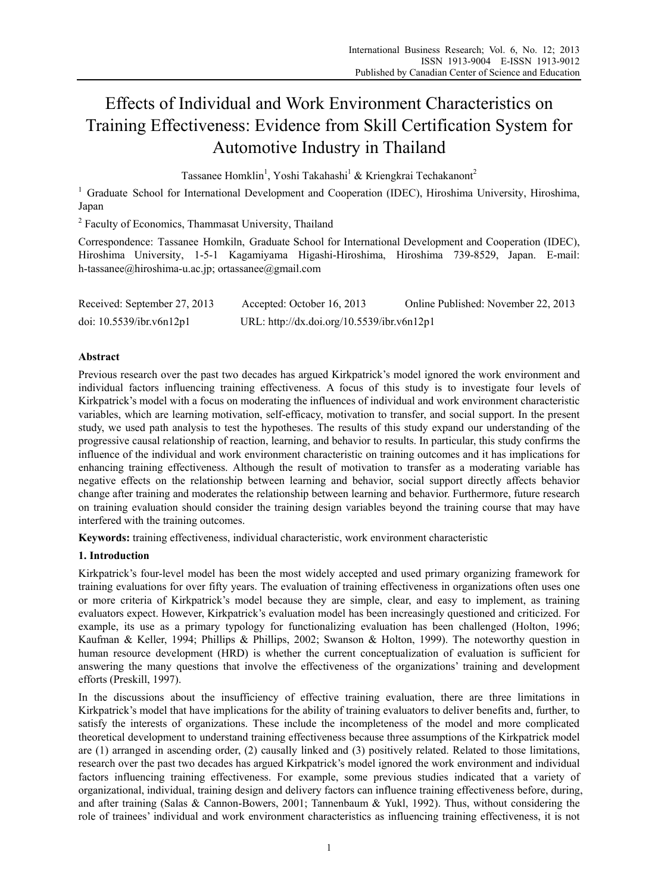# Effects of Individual and Work Environment Characteristics on Training Effectiveness: Evidence from Skill Certification System for Automotive Industry in Thailand

Tassanee Homklin<sup>1</sup>, Yoshi Takahashi<sup>1</sup> & Kriengkrai Techakanont<sup>2</sup>

<sup>1</sup> Graduate School for International Development and Cooperation (IDEC), Hiroshima University, Hiroshima, Japan

<sup>2</sup> Faculty of Economics, Thammasat University, Thailand

Correspondence: Tassanee Homkiln, Graduate School for International Development and Cooperation (IDEC), Hiroshima University, 1-5-1 Kagamiyama Higashi-Hiroshima, Hiroshima 739-8529, Japan. E-mail: h-tassanee@hiroshima-u.ac.jp; ortassanee@gmail.com

| Received: September 27, 2013   | Accepted: October 16, 2013                 | Online Published: November 22, 2013 |
|--------------------------------|--------------------------------------------|-------------------------------------|
| doi: $10.5539$ /ibr.v6n $12p1$ | URL: http://dx.doi.org/10.5539/ibr.v6n12p1 |                                     |

# **Abstract**

Previous research over the past two decades has argued Kirkpatrick's model ignored the work environment and individual factors influencing training effectiveness. A focus of this study is to investigate four levels of Kirkpatrick's model with a focus on moderating the influences of individual and work environment characteristic variables, which are learning motivation, self-efficacy, motivation to transfer, and social support. In the present study, we used path analysis to test the hypotheses. The results of this study expand our understanding of the progressive causal relationship of reaction, learning, and behavior to results. In particular, this study confirms the influence of the individual and work environment characteristic on training outcomes and it has implications for enhancing training effectiveness. Although the result of motivation to transfer as a moderating variable has negative effects on the relationship between learning and behavior, social support directly affects behavior change after training and moderates the relationship between learning and behavior. Furthermore, future research on training evaluation should consider the training design variables beyond the training course that may have interfered with the training outcomes.

**Keywords:** training effectiveness, individual characteristic, work environment characteristic

# **1. Introduction**

Kirkpatrick's four-level model has been the most widely accepted and used primary organizing framework for training evaluations for over fifty years. The evaluation of training effectiveness in organizations often uses one or more criteria of Kirkpatrick's model because they are simple, clear, and easy to implement, as training evaluators expect. However, Kirkpatrick's evaluation model has been increasingly questioned and criticized. For example, its use as a primary typology for functionalizing evaluation has been challenged (Holton, 1996; Kaufman & Keller, 1994; Phillips & Phillips, 2002; Swanson & Holton, 1999). The noteworthy question in human resource development (HRD) is whether the current conceptualization of evaluation is sufficient for answering the many questions that involve the effectiveness of the organizations' training and development efforts (Preskill, 1997).

In the discussions about the insufficiency of effective training evaluation, there are three limitations in Kirkpatrick's model that have implications for the ability of training evaluators to deliver benefits and, further, to satisfy the interests of organizations. These include the incompleteness of the model and more complicated theoretical development to understand training effectiveness because three assumptions of the Kirkpatrick model are (1) arranged in ascending order, (2) causally linked and (3) positively related. Related to those limitations, research over the past two decades has argued Kirkpatrick's model ignored the work environment and individual factors influencing training effectiveness. For example, some previous studies indicated that a variety of organizational, individual, training design and delivery factors can influence training effectiveness before, during, and after training (Salas & Cannon-Bowers, 2001; Tannenbaum & Yukl, 1992). Thus, without considering the role of trainees' individual and work environment characteristics as influencing training effectiveness, it is not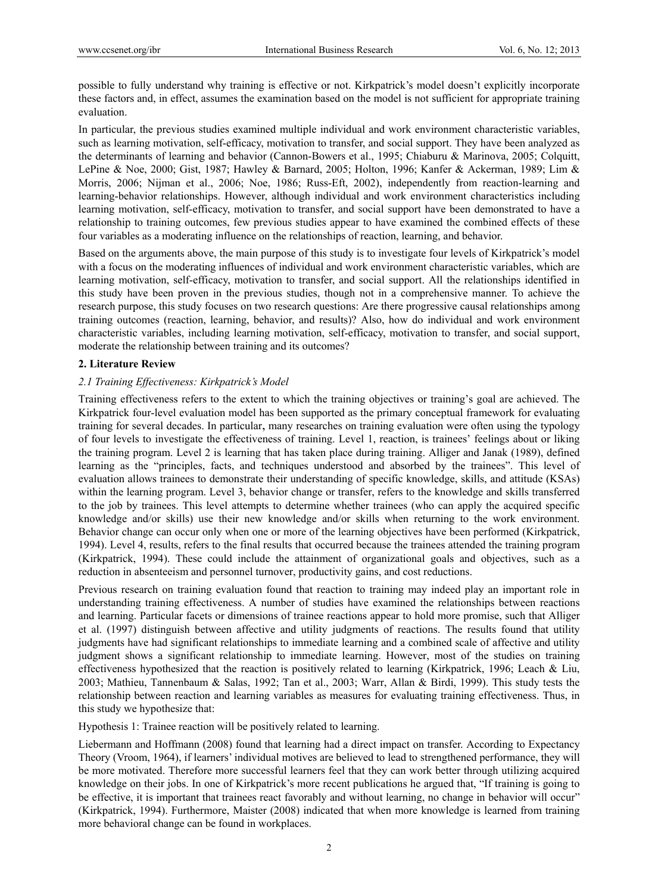possible to fully understand why training is effective or not. Kirkpatrick's model doesn't explicitly incorporate these factors and, in effect, assumes the examination based on the model is not sufficient for appropriate training evaluation.

In particular, the previous studies examined multiple individual and work environment characteristic variables, such as learning motivation, self-efficacy, motivation to transfer, and social support. They have been analyzed as the determinants of learning and behavior (Cannon-Bowers et al., 1995; Chiaburu & Marinova, 2005; Colquitt, LePine & Noe, 2000; Gist, 1987; Hawley & Barnard, 2005; Holton, 1996; Kanfer & Ackerman, 1989; Lim & Morris, 2006; Nijman et al., 2006; Noe, 1986; Russ-Eft, 2002), independently from reaction-learning and learning-behavior relationships. However, although individual and work environment characteristics including learning motivation, self-efficacy, motivation to transfer, and social support have been demonstrated to have a relationship to training outcomes, few previous studies appear to have examined the combined effects of these four variables as a moderating influence on the relationships of reaction, learning, and behavior.

Based on the arguments above, the main purpose of this study is to investigate four levels of Kirkpatrick's model with a focus on the moderating influences of individual and work environment characteristic variables, which are learning motivation, self-efficacy, motivation to transfer, and social support. All the relationships identified in this study have been proven in the previous studies, though not in a comprehensive manner. To achieve the research purpose, this study focuses on two research questions: Are there progressive causal relationships among training outcomes (reaction, learning, behavior, and results)? Also, how do individual and work environment characteristic variables, including learning motivation, self-efficacy, motivation to transfer, and social support, moderate the relationship between training and its outcomes?

## **2. Literature Review**

# *2.1 Training Effectiveness: Kirkpatrick's Model*

Training effectiveness refers to the extent to which the training objectives or training's goal are achieved. The Kirkpatrick four-level evaluation model has been supported as the primary conceptual framework for evaluating training for several decades. In particular, many researches on training evaluation were often using the typology of four levels to investigate the effectiveness of training. Level 1, reaction, is trainees' feelings about or liking the training program. Level 2 is learning that has taken place during training. Alliger and Janak (1989), defined learning as the "principles, facts, and techniques understood and absorbed by the trainees". This level of evaluation allows trainees to demonstrate their understanding of specific knowledge, skills, and attitude (KSAs) within the learning program. Level 3, behavior change or transfer, refers to the knowledge and skills transferred to the job by trainees. This level attempts to determine whether trainees (who can apply the acquired specific knowledge and/or skills) use their new knowledge and/or skills when returning to the work environment. Behavior change can occur only when one or more of the learning objectives have been performed (Kirkpatrick, 1994). Level 4, results, refers to the final results that occurred because the trainees attended the training program (Kirkpatrick, 1994). These could include the attainment of organizational goals and objectives, such as a reduction in absenteeism and personnel turnover, productivity gains, and cost reductions.

Previous research on training evaluation found that reaction to training may indeed play an important role in understanding training effectiveness. A number of studies have examined the relationships between reactions and learning. Particular facets or dimensions of trainee reactions appear to hold more promise, such that Alliger et al. (1997) distinguish between affective and utility judgments of reactions. The results found that utility judgments have had significant relationships to immediate learning and a combined scale of affective and utility judgment shows a significant relationship to immediate learning. However, most of the studies on training effectiveness hypothesized that the reaction is positively related to learning (Kirkpatrick, 1996; Leach & Liu, 2003; Mathieu, Tannenbaum & Salas, 1992; Tan et al., 2003; Warr, Allan & Birdi, 1999). This study tests the relationship between reaction and learning variables as measures for evaluating training effectiveness. Thus, in this study we hypothesize that:

Hypothesis 1: Trainee reaction will be positively related to learning.

Liebermann and Hoffmann (2008) found that learning had a direct impact on transfer. According to Expectancy Theory (Vroom, 1964), if learners' individual motives are believed to lead to strengthened performance, they will be more motivated. Therefore more successful learners feel that they can work better through utilizing acquired knowledge on their jobs. In one of Kirkpatrick's more recent publications he argued that, "If training is going to be effective, it is important that trainees react favorably and without learning, no change in behavior will occur" (Kirkpatrick, 1994). Furthermore, Maister (2008) indicated that when more knowledge is learned from training more behavioral change can be found in workplaces.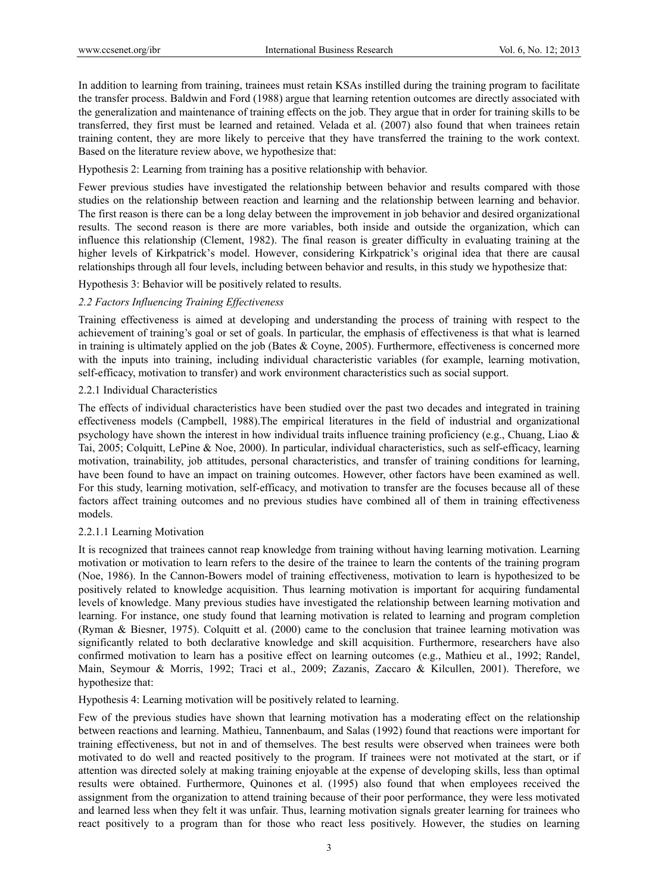In addition to learning from training, trainees must retain KSAs instilled during the training program to facilitate the transfer process. Baldwin and Ford (1988) argue that learning retention outcomes are directly associated with the generalization and maintenance of training effects on the job. They argue that in order for training skills to be transferred, they first must be learned and retained. Velada et al. (2007) also found that when trainees retain training content, they are more likely to perceive that they have transferred the training to the work context. Based on the literature review above, we hypothesize that:

Hypothesis 2: Learning from training has a positive relationship with behavior.

Fewer previous studies have investigated the relationship between behavior and results compared with those studies on the relationship between reaction and learning and the relationship between learning and behavior. The first reason is there can be a long delay between the improvement in job behavior and desired organizational results. The second reason is there are more variables, both inside and outside the organization, which can influence this relationship (Clement, 1982). The final reason is greater difficulty in evaluating training at the higher levels of Kirkpatrick's model. However, considering Kirkpatrick's original idea that there are causal relationships through all four levels, including between behavior and results, in this study we hypothesize that:

Hypothesis 3: Behavior will be positively related to results.

# *2.2 Factors Influencing Training Effectiveness*

Training effectiveness is aimed at developing and understanding the process of training with respect to the achievement of training's goal or set of goals. In particular, the emphasis of effectiveness is that what is learned in training is ultimately applied on the job (Bates & Coyne, 2005). Furthermore, effectiveness is concerned more with the inputs into training, including individual characteristic variables (for example, learning motivation, self-efficacy, motivation to transfer) and work environment characteristics such as social support.

## 2.2.1 Individual Characteristics

The effects of individual characteristics have been studied over the past two decades and integrated in training effectiveness models (Campbell, 1988).The empirical literatures in the field of industrial and organizational psychology have shown the interest in how individual traits influence training proficiency (e.g., Chuang, Liao & Tai, 2005; Colquitt, LePine & Noe, 2000). In particular, individual characteristics, such as self-efficacy, learning motivation, trainability, job attitudes, personal characteristics, and transfer of training conditions for learning, have been found to have an impact on training outcomes. However, other factors have been examined as well. For this study, learning motivation, self-efficacy, and motivation to transfer are the focuses because all of these factors affect training outcomes and no previous studies have combined all of them in training effectiveness models.

## 2.2.1.1 Learning Motivation

It is recognized that trainees cannot reap knowledge from training without having learning motivation. Learning motivation or motivation to learn refers to the desire of the trainee to learn the contents of the training program (Noe, 1986). In the Cannon-Bowers model of training effectiveness, motivation to learn is hypothesized to be positively related to knowledge acquisition. Thus learning motivation is important for acquiring fundamental levels of knowledge. Many previous studies have investigated the relationship between learning motivation and learning. For instance, one study found that learning motivation is related to learning and program completion (Ryman & Biesner, 1975). Colquitt et al. (2000) came to the conclusion that trainee learning motivation was significantly related to both declarative knowledge and skill acquisition. Furthermore, researchers have also confirmed motivation to learn has a positive effect on learning outcomes (e.g., Mathieu et al., 1992; Randel, Main, Seymour & Morris, 1992; Traci et al., 2009; Zazanis, Zaccaro & Kilcullen, 2001). Therefore, we hypothesize that:

Hypothesis 4: Learning motivation will be positively related to learning.

Few of the previous studies have shown that learning motivation has a moderating effect on the relationship between reactions and learning. Mathieu, Tannenbaum, and Salas (1992) found that reactions were important for training effectiveness, but not in and of themselves. The best results were observed when trainees were both motivated to do well and reacted positively to the program. If trainees were not motivated at the start, or if attention was directed solely at making training enjoyable at the expense of developing skills, less than optimal results were obtained. Furthermore, Quinones et al. (1995) also found that when employees received the assignment from the organization to attend training because of their poor performance, they were less motivated and learned less when they felt it was unfair. Thus, learning motivation signals greater learning for trainees who react positively to a program than for those who react less positively. However, the studies on learning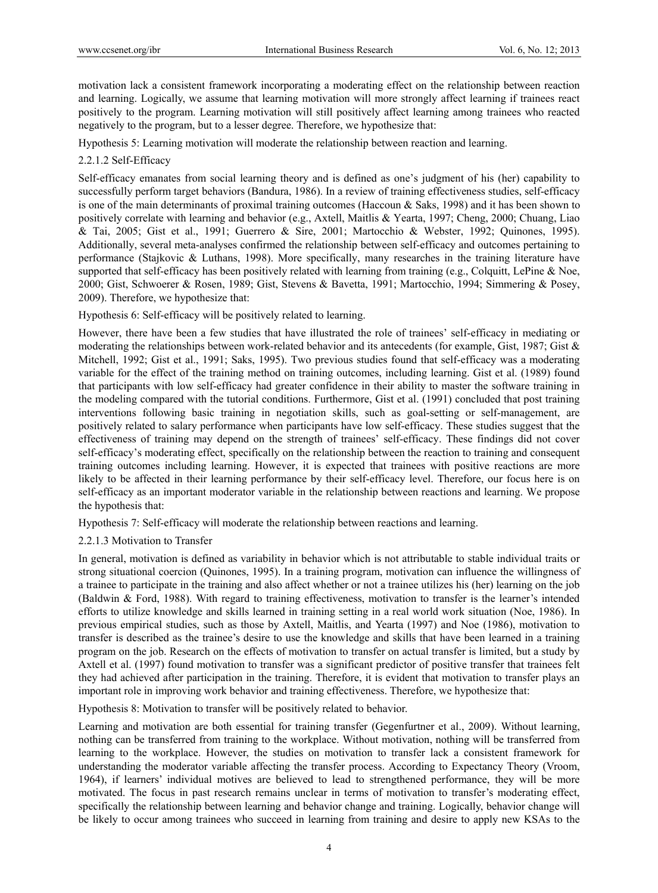motivation lack a consistent framework incorporating a moderating effect on the relationship between reaction and learning. Logically, we assume that learning motivation will more strongly affect learning if trainees react positively to the program. Learning motivation will still positively affect learning among trainees who reacted negatively to the program, but to a lesser degree. Therefore, we hypothesize that:

Hypothesis 5: Learning motivation will moderate the relationship between reaction and learning.

# 2.2.1.2 Self-Efficacy

Self-efficacy emanates from social learning theory and is defined as one's judgment of his (her) capability to successfully perform target behaviors (Bandura, 1986). In a review of training effectiveness studies, self-efficacy is one of the main determinants of proximal training outcomes (Haccoun & Saks, 1998) and it has been shown to positively correlate with learning and behavior (e.g., Axtell, Maitlis & Yearta, 1997; Cheng, 2000; Chuang, Liao & Tai, 2005; Gist et al., 1991; Guerrero & Sire, 2001; Martocchio & Webster, 1992; Quinones, 1995). Additionally, several meta-analyses confirmed the relationship between self-efficacy and outcomes pertaining to performance (Stajkovic & Luthans, 1998). More specifically, many researches in the training literature have supported that self-efficacy has been positively related with learning from training (e.g., Colquitt, LePine & Noe, 2000; Gist, Schwoerer & Rosen, 1989; Gist, Stevens & Bavetta, 1991; Martocchio, 1994; Simmering & Posey, 2009). Therefore, we hypothesize that:

Hypothesis 6: Self-efficacy will be positively related to learning.

However, there have been a few studies that have illustrated the role of trainees' self-efficacy in mediating or moderating the relationships between work-related behavior and its antecedents (for example, Gist, 1987; Gist & Mitchell, 1992; Gist et al., 1991; Saks, 1995). Two previous studies found that self-efficacy was a moderating variable for the effect of the training method on training outcomes, including learning. Gist et al. (1989) found that participants with low self-efficacy had greater confidence in their ability to master the software training in the modeling compared with the tutorial conditions. Furthermore, Gist et al. (1991) concluded that post training interventions following basic training in negotiation skills, such as goal-setting or self-management, are positively related to salary performance when participants have low self-efficacy. These studies suggest that the effectiveness of training may depend on the strength of trainees' self-efficacy. These findings did not cover self-efficacy's moderating effect, specifically on the relationship between the reaction to training and consequent training outcomes including learning. However, it is expected that trainees with positive reactions are more likely to be affected in their learning performance by their self-efficacy level. Therefore, our focus here is on self-efficacy as an important moderator variable in the relationship between reactions and learning. We propose the hypothesis that:

Hypothesis 7: Self-efficacy will moderate the relationship between reactions and learning.

2.2.1.3 Motivation to Transfer

In general, motivation is defined as variability in behavior which is not attributable to stable individual traits or strong situational coercion (Quinones, 1995). In a training program, motivation can influence the willingness of a trainee to participate in the training and also affect whether or not a trainee utilizes his (her) learning on the job (Baldwin & Ford, 1988). With regard to training effectiveness, motivation to transfer is the learner's intended efforts to utilize knowledge and skills learned in training setting in a real world work situation (Noe, 1986). In previous empirical studies, such as those by Axtell, Maitlis, and Yearta (1997) and Noe (1986), motivation to transfer is described as the trainee's desire to use the knowledge and skills that have been learned in a training program on the job. Research on the effects of motivation to transfer on actual transfer is limited, but a study by Axtell et al. (1997) found motivation to transfer was a significant predictor of positive transfer that trainees felt they had achieved after participation in the training. Therefore, it is evident that motivation to transfer plays an important role in improving work behavior and training effectiveness. Therefore, we hypothesize that:

Hypothesis 8: Motivation to transfer will be positively related to behavior.

Learning and motivation are both essential for training transfer (Gegenfurtner et al., 2009). Without learning, nothing can be transferred from training to the workplace. Without motivation, nothing will be transferred from learning to the workplace. However, the studies on motivation to transfer lack a consistent framework for understanding the moderator variable affecting the transfer process. According to Expectancy Theory (Vroom, 1964), if learners' individual motives are believed to lead to strengthened performance, they will be more motivated. The focus in past research remains unclear in terms of motivation to transfer's moderating effect, specifically the relationship between learning and behavior change and training. Logically, behavior change will be likely to occur among trainees who succeed in learning from training and desire to apply new KSAs to the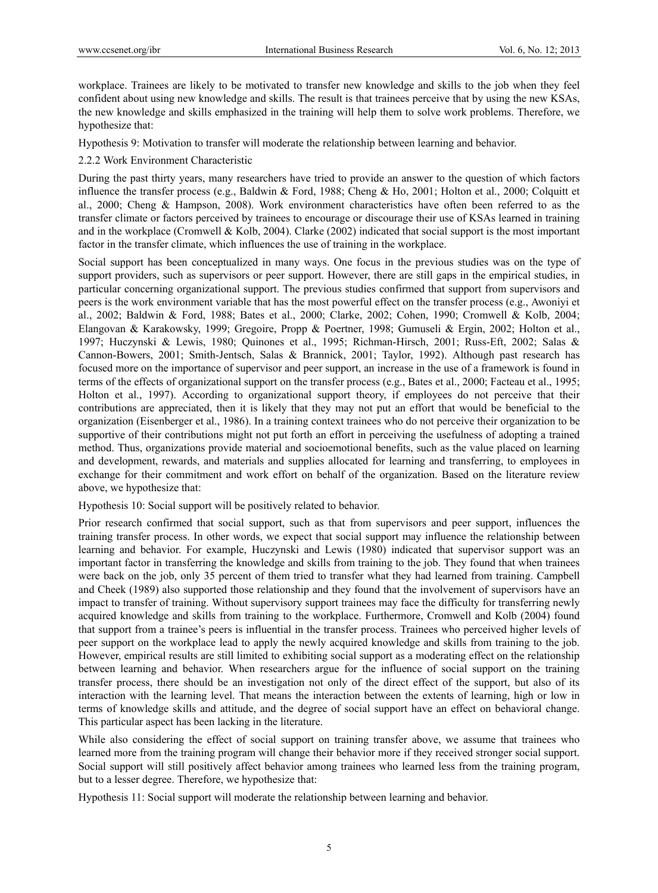workplace. Trainees are likely to be motivated to transfer new knowledge and skills to the job when they feel confident about using new knowledge and skills. The result is that trainees perceive that by using the new KSAs, the new knowledge and skills emphasized in the training will help them to solve work problems. Therefore, we hypothesize that:

Hypothesis 9: Motivation to transfer will moderate the relationship between learning and behavior.

# 2.2.2 Work Environment Characteristic

During the past thirty years, many researchers have tried to provide an answer to the question of which factors influence the transfer process (e.g., Baldwin & Ford, 1988; Cheng & Ho, 2001; Holton et al., 2000; Colquitt et al., 2000; Cheng & Hampson, 2008). Work environment characteristics have often been referred to as the transfer climate or factors perceived by trainees to encourage or discourage their use of KSAs learned in training and in the workplace (Cromwell & Kolb, 2004). Clarke (2002) indicated that social support is the most important factor in the transfer climate, which influences the use of training in the workplace.

Social support has been conceptualized in many ways. One focus in the previous studies was on the type of support providers, such as supervisors or peer support. However, there are still gaps in the empirical studies, in particular concerning organizational support. The previous studies confirmed that support from supervisors and peers is the work environment variable that has the most powerful effect on the transfer process (e.g., Awoniyi et al., 2002; Baldwin & Ford, 1988; Bates et al., 2000; Clarke, 2002; Cohen, 1990; Cromwell & Kolb, 2004; Elangovan & Karakowsky, 1999; Gregoire, Propp & Poertner, 1998; Gumuseli & Ergin, 2002; Holton et al., 1997; Huczynski & Lewis, 1980; Quinones et al., 1995; Richman-Hirsch, 2001; Russ-Eft, 2002; Salas & Cannon-Bowers, 2001; Smith-Jentsch, Salas & Brannick, 2001; Taylor, 1992). Although past research has focused more on the importance of supervisor and peer support, an increase in the use of a framework is found in terms of the effects of organizational support on the transfer process (e.g., Bates et al., 2000; Facteau et al., 1995; Holton et al., 1997). According to organizational support theory, if employees do not perceive that their contributions are appreciated, then it is likely that they may not put an effort that would be beneficial to the organization (Eisenberger et al., 1986). In a training context trainees who do not perceive their organization to be supportive of their contributions might not put forth an effort in perceiving the usefulness of adopting a trained method. Thus, organizations provide material and socioemotional benefits, such as the value placed on learning and development, rewards, and materials and supplies allocated for learning and transferring, to employees in exchange for their commitment and work effort on behalf of the organization. Based on the literature review above, we hypothesize that:

Hypothesis 10: Social support will be positively related to behavior.

Prior research confirmed that social support, such as that from supervisors and peer support, influences the training transfer process. In other words, we expect that social support may influence the relationship between learning and behavior. For example, Huczynski and Lewis (1980) indicated that supervisor support was an important factor in transferring the knowledge and skills from training to the job. They found that when trainees were back on the job, only 35 percent of them tried to transfer what they had learned from training. Campbell and Cheek (1989) also supported those relationship and they found that the involvement of supervisors have an impact to transfer of training. Without supervisory support trainees may face the difficulty for transferring newly acquired knowledge and skills from training to the workplace. Furthermore, Cromwell and Kolb (2004) found that support from a trainee's peers is influential in the transfer process. Trainees who perceived higher levels of peer support on the workplace lead to apply the newly acquired knowledge and skills from training to the job. However, empirical results are still limited to exhibiting social support as a moderating effect on the relationship between learning and behavior. When researchers argue for the influence of social support on the training transfer process, there should be an investigation not only of the direct effect of the support, but also of its interaction with the learning level. That means the interaction between the extents of learning, high or low in terms of knowledge skills and attitude, and the degree of social support have an effect on behavioral change. This particular aspect has been lacking in the literature.

While also considering the effect of social support on training transfer above, we assume that trainees who learned more from the training program will change their behavior more if they received stronger social support. Social support will still positively affect behavior among trainees who learned less from the training program, but to a lesser degree. Therefore, we hypothesize that:

Hypothesis 11: Social support will moderate the relationship between learning and behavior.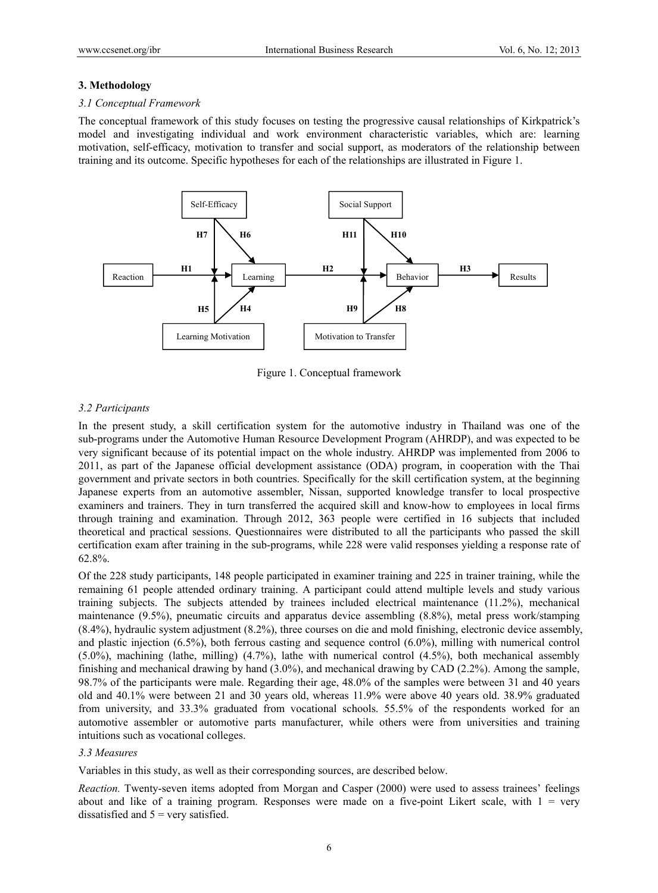#### **3. Methodology**

#### *3.1 Conceptual Framework*

The conceptual framework of this study focuses on testing the progressive causal relationships of Kirkpatrick's model and investigating individual and work environment characteristic variables, which are: learning motivation, self-efficacy, motivation to transfer and social support, as moderators of the relationship between training and its outcome. Specific hypotheses for each of the relationships are illustrated in Figure 1.



Figure 1. Conceptual framework

#### *3.2 Participants*

In the present study, a skill certification system for the automotive industry in Thailand was one of the sub-programs under the Automotive Human Resource Development Program (AHRDP), and was expected to be very significant because of its potential impact on the whole industry. AHRDP was implemented from 2006 to 2011, as part of the Japanese official development assistance (ODA) program, in cooperation with the Thai government and private sectors in both countries. Specifically for the skill certification system, at the beginning Japanese experts from an automotive assembler, Nissan, supported knowledge transfer to local prospective examiners and trainers. They in turn transferred the acquired skill and know-how to employees in local firms through training and examination. Through 2012, 363 people were certified in 16 subjects that included theoretical and practical sessions. Questionnaires were distributed to all the participants who passed the skill certification exam after training in the sub-programs, while 228 were valid responses yielding a response rate of 62.8%.

Of the 228 study participants, 148 people participated in examiner training and 225 in trainer training, while the remaining 61 people attended ordinary training. A participant could attend multiple levels and study various training subjects. The subjects attended by trainees included electrical maintenance (11.2%), mechanical maintenance (9.5%), pneumatic circuits and apparatus device assembling (8.8%), metal press work/stamping (8.4%), hydraulic system adjustment (8.2%), three courses on die and mold finishing, electronic device assembly, and plastic injection (6.5%), both ferrous casting and sequence control (6.0%), milling with numerical control (5.0%), machining (lathe, milling) (4.7%), lathe with numerical control (4.5%), both mechanical assembly finishing and mechanical drawing by hand (3.0%), and mechanical drawing by CAD (2.2%). Among the sample, 98.7% of the participants were male. Regarding their age, 48.0% of the samples were between 31 and 40 years old and 40.1% were between 21 and 30 years old, whereas 11.9% were above 40 years old. 38.9% graduated from university, and 33.3% graduated from vocational schools. 55.5% of the respondents worked for an automotive assembler or automotive parts manufacturer, while others were from universities and training intuitions such as vocational colleges.

#### *3.3 Measures*

Variables in this study, as well as their corresponding sources, are described below.

*Reaction.* Twenty-seven items adopted from Morgan and Casper (2000) were used to assess trainees' feelings about and like of a training program. Responses were made on a five-point Likert scale, with  $1 = \text{very}$ dissatisfied and  $5$  = very satisfied.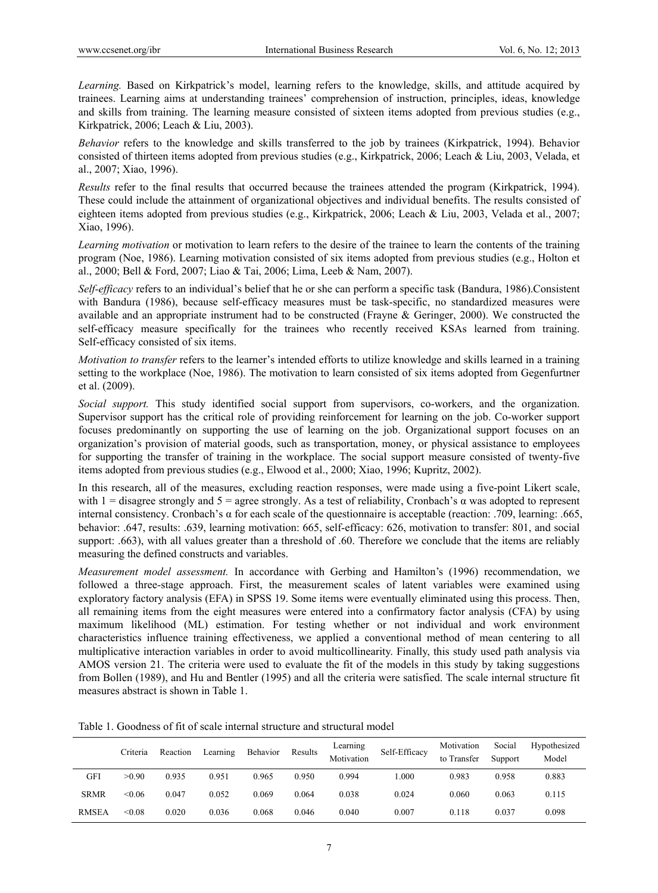*Learning.* Based on Kirkpatrick's model, learning refers to the knowledge, skills, and attitude acquired by trainees. Learning aims at understanding trainees' comprehension of instruction, principles, ideas, knowledge and skills from training. The learning measure consisted of sixteen items adopted from previous studies (e.g., Kirkpatrick, 2006; Leach & Liu, 2003).

*Behavior* refers to the knowledge and skills transferred to the job by trainees (Kirkpatrick, 1994). Behavior consisted of thirteen items adopted from previous studies (e.g., Kirkpatrick, 2006; Leach & Liu, 2003, Velada, et al., 2007; Xiao, 1996).

*Results* refer to the final results that occurred because the trainees attended the program (Kirkpatrick, 1994). These could include the attainment of organizational objectives and individual benefits. The results consisted of eighteen items adopted from previous studies (e.g., Kirkpatrick, 2006; Leach & Liu, 2003, Velada et al., 2007; Xiao, 1996).

*Learning motivation* or motivation to learn refers to the desire of the trainee to learn the contents of the training program (Noe, 1986). Learning motivation consisted of six items adopted from previous studies (e.g., Holton et al., 2000; Bell & Ford, 2007; Liao & Tai, 2006; Lima, Leeb & Nam, 2007).

*Self-efficacy* refers to an individual's belief that he or she can perform a specific task (Bandura, 1986).Consistent with Bandura (1986), because self-efficacy measures must be task-specific, no standardized measures were available and an appropriate instrument had to be constructed (Frayne & Geringer, 2000). We constructed the self-efficacy measure specifically for the trainees who recently received KSAs learned from training. Self-efficacy consisted of six items.

*Motivation to transfer* refers to the learner's intended efforts to utilize knowledge and skills learned in a training setting to the workplace (Noe, 1986). The motivation to learn consisted of six items adopted from Gegenfurtner et al. (2009).

*Social support.* This study identified social support from supervisors, co-workers, and the organization. Supervisor support has the critical role of providing reinforcement for learning on the job. Co-worker support focuses predominantly on supporting the use of learning on the job. Organizational support focuses on an organization's provision of material goods, such as transportation, money, or physical assistance to employees for supporting the transfer of training in the workplace. The social support measure consisted of twenty-five items adopted from previous studies (e.g., Elwood et al., 2000; Xiao, 1996; Kupritz, 2002).

In this research, all of the measures, excluding reaction responses, were made using a five-point Likert scale, with  $1 =$  disagree strongly and  $5 =$  agree strongly. As a test of reliability, Cronbach's  $\alpha$  was adopted to represent internal consistency. Cronbach's α for each scale of the questionnaire is acceptable (reaction: .709, learning: .665, behavior: .647, results: .639, learning motivation: 665, self-efficacy: 626, motivation to transfer: 801, and social support: .663), with all values greater than a threshold of .60. Therefore we conclude that the items are reliably measuring the defined constructs and variables.

*Measurement model assessment.* In accordance with Gerbing and Hamilton's (1996) recommendation, we followed a three-stage approach. First, the measurement scales of latent variables were examined using exploratory factory analysis (EFA) in SPSS 19. Some items were eventually eliminated using this process. Then, all remaining items from the eight measures were entered into a confirmatory factor analysis (CFA) by using maximum likelihood (ML) estimation. For testing whether or not individual and work environment characteristics influence training effectiveness, we applied a conventional method of mean centering to all multiplicative interaction variables in order to avoid multicollinearity. Finally, this study used path analysis via AMOS version 21. The criteria were used to evaluate the fit of the models in this study by taking suggestions from Bollen (1989), and Hu and Bentler (1995) and all the criteria were satisfied. The scale internal structure fit measures abstract is shown in Table 1.

|              | Criteria | Reaction | Learning | Behavior | Results | Learning<br>Motivation | Self-Efficacy | Motivation<br>to Transfer | Social<br>Support | Hypothesized<br>Model |
|--------------|----------|----------|----------|----------|---------|------------------------|---------------|---------------------------|-------------------|-----------------------|
| GFI          | >0.90    | 0.935    | 0.951    | 0.965    | 0.950   | 0.994                  | .000          | 0.983                     | 0.958             | 0.883                 |
| <b>SRMR</b>  | < 0.06   | 0.047    | 0.052    | 0.069    | 0.064   | 0.038                  | 0.024         | 0.060                     | 0.063             | 0.115                 |
| <b>RMSEA</b> | < 0.08   | 0.020    | 0.036    | 0.068    | 0.046   | 0.040                  | 0.007         | 0.118                     | 0.037             | 0.098                 |

Table 1. Goodness of fit of scale internal structure and structural model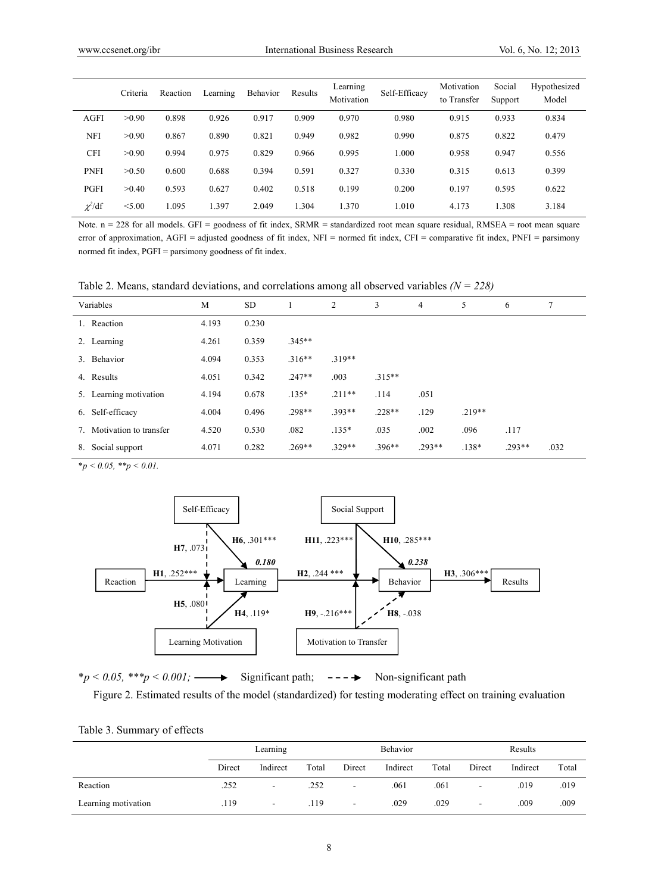|              | Criteria | Reaction | Learning | Behavior | Results | Learning<br>Motivation | Self-Efficacy | Motivation<br>to Transfer | Social<br>Support | Hypothesized<br>Model |
|--------------|----------|----------|----------|----------|---------|------------------------|---------------|---------------------------|-------------------|-----------------------|
| <b>AGFI</b>  | >0.90    | 0.898    | 0.926    | 0.917    | 0.909   | 0.970                  | 0.980         | 0.915                     | 0.933             | 0.834                 |
| NFI          | >0.90    | 0.867    | 0.890    | 0.821    | 0.949   | 0.982                  | 0.990         | 0.875                     | 0.822             | 0.479                 |
| <b>CFI</b>   | >0.90    | 0.994    | 0.975    | 0.829    | 0.966   | 0.995                  | 1.000         | 0.958                     | 0.947             | 0.556                 |
| <b>PNFI</b>  | >0.50    | 0.600    | 0.688    | 0.394    | 0.591   | 0.327                  | 0.330         | 0.315                     | 0.613             | 0.399                 |
| PGFI         | >0.40    | 0.593    | 0.627    | 0.402    | 0.518   | 0.199                  | 0.200         | 0.197                     | 0.595             | 0.622                 |
| $\chi^2$ /df | < 5.00   | 1.095    | 1.397    | 2.049    | 1.304   | 1.370                  | 1.010         | 4.173                     | 1.308             | 3.184                 |

Note. n = 228 for all models. GFI = goodness of fit index, SRMR = standardized root mean square residual, RMSEA = root mean square error of approximation, AGFI = adjusted goodness of fit index, NFI = normed fit index, CFI = comparative fit index, PNFI = parsimony normed fit index,  $PGFI =$  parsimony goodness of fit index.

Table 2. Means, standard deviations, and correlations among all observed variables *(N = 228)*

|    | Variables              | M     | <b>SD</b> |          | 2        | 3        | $\overline{4}$ | 5        | 6        | 7    |
|----|------------------------|-------|-----------|----------|----------|----------|----------------|----------|----------|------|
|    | 1. Reaction            | 4.193 | 0.230     |          |          |          |                |          |          |      |
|    | 2. Learning            | 4.261 | 0.359     | $.345**$ |          |          |                |          |          |      |
|    | 3. Behavior            | 4.094 | 0.353     | $.316**$ | $.319**$ |          |                |          |          |      |
|    | 4. Results             | 4.051 | 0.342     | $.247**$ | .003     | $.315**$ |                |          |          |      |
|    | 5. Learning motivation | 4.194 | 0.678     | $.135*$  | $.211**$ | .114     | .051           |          |          |      |
|    | 6. Self-efficacy       | 4.004 | 0.496     | $.298**$ | 393**    | $.228**$ | .129           | $.219**$ |          |      |
| 7. | Motivation to transfer | 4.520 | 0.530     | .082     | $.135*$  | .035     | .002           | .096     | .117     |      |
| 8. | Social support         | 4.071 | 0.282     | $.269**$ | 329**    | 396**    | $293**$        | $.138*$  | $.293**$ | .032 |

 $*_{p} < 0.05, **_{p} < 0.01.$ 



 $*p < 0.05$ ,  $**p < 0.001$ ;  $\longrightarrow$  Significant path;  $--- \rightarrow$  Non-significant path

Figure 2. Estimated results of the model (standardized) for testing moderating effect on training evaluation

|  | Table 3. Summary of effects |  |
|--|-----------------------------|--|
|--|-----------------------------|--|

|                     | Learning |                          |       |                          | Behavior |       | Results                  |          |       |  |
|---------------------|----------|--------------------------|-------|--------------------------|----------|-------|--------------------------|----------|-------|--|
|                     | Direct   | Indirect                 | Total | Direct                   | Indirect | Total | Direct                   | Indirect | Total |  |
| Reaction            | .252     |                          | .252  | $\overline{\phantom{a}}$ | .061     | .061  | $\overline{\phantom{a}}$ | .019     | .019  |  |
| Learning motivation | .119     | $\overline{\phantom{a}}$ | .119  | $\blacksquare$           | .029     | .029  | $\overline{\phantom{a}}$ | .009     | .009  |  |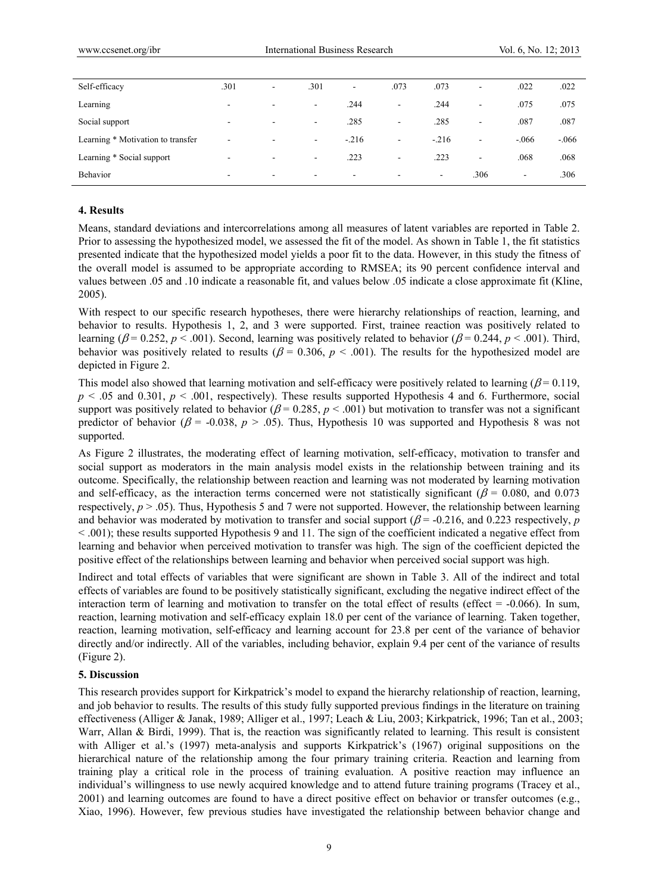| Self-efficacy                     | .301                     | ۰                        | .301                     | $\overline{\phantom{a}}$ | .073                     | .073                     | $\overline{\phantom{a}}$ | .022   | .022    |
|-----------------------------------|--------------------------|--------------------------|--------------------------|--------------------------|--------------------------|--------------------------|--------------------------|--------|---------|
| Learning                          | $\overline{\phantom{a}}$ | $\sim$                   | $\blacksquare$           | .244                     | $\overline{\phantom{a}}$ | .244                     | $\overline{\phantom{a}}$ | .075   | .075    |
| Social support                    | $\overline{\phantom{a}}$ | $\overline{\phantom{0}}$ | $\blacksquare$           | .285                     | $\overline{\phantom{a}}$ | .285                     | $\overline{\phantom{a}}$ | .087   | .087    |
| Learning * Motivation to transfer | $\overline{\phantom{a}}$ | $\overline{\phantom{0}}$ | $\blacksquare$           | $-.216$                  | $\overline{\phantom{a}}$ | $-.216$                  | $\blacksquare$           | $-066$ | $-.066$ |
| Learning * Social support         | $\overline{\phantom{a}}$ | $\overline{\phantom{0}}$ | $\blacksquare$           | .223                     | $\overline{\phantom{a}}$ | .223                     | $\blacksquare$           | .068   | .068    |
| Behavior                          | $\overline{\phantom{0}}$ | $\sim$                   | $\overline{\phantom{a}}$ | ۰                        | $\overline{\phantom{a}}$ | $\overline{\phantom{a}}$ | .306                     | ۰      | .306    |

### **4. Results**

Means, standard deviations and intercorrelations among all measures of latent variables are reported in Table 2. Prior to assessing the hypothesized model, we assessed the fit of the model. As shown in Table 1, the fit statistics presented indicate that the hypothesized model yields a poor fit to the data. However, in this study the fitness of the overall model is assumed to be appropriate according to RMSEA; its 90 percent confidence interval and values between .05 and .10 indicate a reasonable fit, and values below .05 indicate a close approximate fit (Kline, 2005).

With respect to our specific research hypotheses, there were hierarchy relationships of reaction, learning, and behavior to results. Hypothesis 1, 2, and 3 were supported. First, trainee reaction was positively related to learning ( $\beta$  = 0.252,  $p$  < .001). Second, learning was positively related to behavior ( $\beta$  = 0.244,  $p$  < .001). Third, behavior was positively related to results ( $\beta$  = 0.306,  $p$  < .001). The results for the hypothesized model are depicted in Figure 2.

This model also showed that learning motivation and self-efficacy were positively related to learning ( $\beta$ = 0.119,  $p \le 0.05$  and  $0.301$ ,  $p \le 0.001$ , respectively). These results supported Hypothesis 4 and 6. Furthermore, social support was positively related to behavior ( $\beta$  = 0.285,  $p$  < .001) but motivation to transfer was not a significant predictor of behavior ( $\beta$  = -0.038,  $p > .05$ ). Thus, Hypothesis 10 was supported and Hypothesis 8 was not supported.

As Figure 2 illustrates, the moderating effect of learning motivation, self-efficacy, motivation to transfer and social support as moderators in the main analysis model exists in the relationship between training and its outcome. Specifically, the relationship between reaction and learning was not moderated by learning motivation and self-efficacy, as the interaction terms concerned were not statistically significant ( $\beta$  = 0.080, and 0.073 respectively,  $p > .05$ ). Thus, Hypothesis 5 and 7 were not supported. However, the relationship between learning and behavior was moderated by motivation to transfer and social support  $(\beta = -0.216)$ , and 0.223 respectively, *p* < .001); these results supported Hypothesis 9 and 11. The sign of the coefficient indicated a negative effect from learning and behavior when perceived motivation to transfer was high. The sign of the coefficient depicted the positive effect of the relationships between learning and behavior when perceived social support was high.

Indirect and total effects of variables that were significant are shown in Table 3. All of the indirect and total effects of variables are found to be positively statistically significant, excluding the negative indirect effect of the interaction term of learning and motivation to transfer on the total effect of results (effect  $= -0.066$ ). In sum, reaction, learning motivation and self-efficacy explain 18.0 per cent of the variance of learning. Taken together, reaction, learning motivation, self-efficacy and learning account for 23.8 per cent of the variance of behavior directly and/or indirectly. All of the variables, including behavior, explain 9.4 per cent of the variance of results (Figure 2).

## **5. Discussion**

This research provides support for Kirkpatrick's model to expand the hierarchy relationship of reaction, learning, and job behavior to results. The results of this study fully supported previous findings in the literature on training effectiveness (Alliger & Janak, 1989; Alliger et al., 1997; Leach & Liu, 2003; Kirkpatrick, 1996; Tan et al., 2003; Warr, Allan & Birdi, 1999). That is, the reaction was significantly related to learning. This result is consistent with Alliger et al.'s (1997) meta-analysis and supports Kirkpatrick's (1967) original suppositions on the hierarchical nature of the relationship among the four primary training criteria. Reaction and learning from training play a critical role in the process of training evaluation. A positive reaction may influence an individual's willingness to use newly acquired knowledge and to attend future training programs (Tracey et al., 2001) and learning outcomes are found to have a direct positive effect on behavior or transfer outcomes (e.g., Xiao, 1996). However, few previous studies have investigated the relationship between behavior change and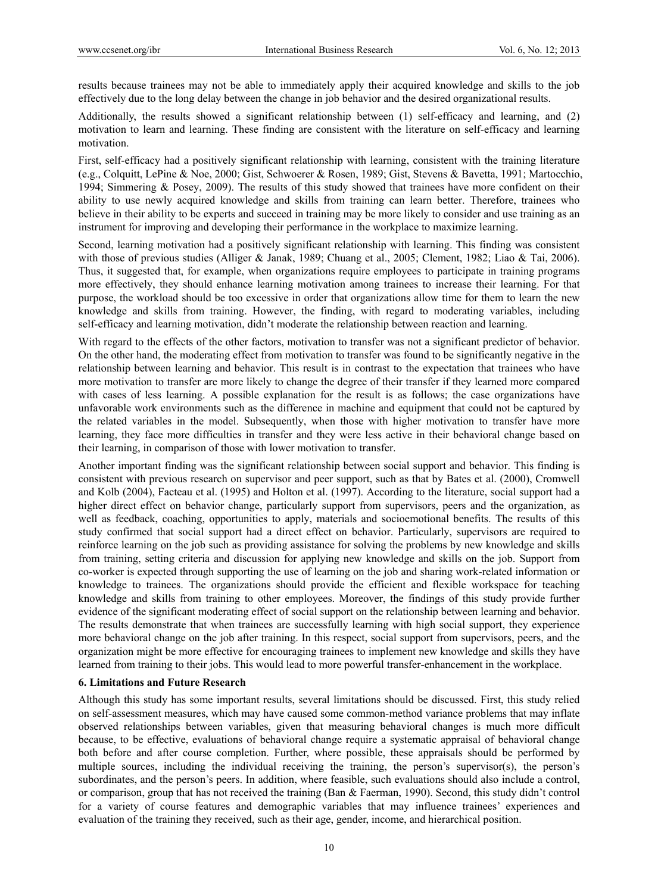results because trainees may not be able to immediately apply their acquired knowledge and skills to the job effectively due to the long delay between the change in job behavior and the desired organizational results.

Additionally, the results showed a significant relationship between (1) self-efficacy and learning, and (2) motivation to learn and learning. These finding are consistent with the literature on self-efficacy and learning motivation.

First, self-efficacy had a positively significant relationship with learning, consistent with the training literature (e.g., Colquitt, LePine & Noe, 2000; Gist, Schwoerer & Rosen, 1989; Gist, Stevens & Bavetta, 1991; Martocchio, 1994; Simmering & Posey, 2009). The results of this study showed that trainees have more confident on their ability to use newly acquired knowledge and skills from training can learn better. Therefore, trainees who believe in their ability to be experts and succeed in training may be more likely to consider and use training as an instrument for improving and developing their performance in the workplace to maximize learning.

Second, learning motivation had a positively significant relationship with learning. This finding was consistent with those of previous studies (Alliger & Janak, 1989; Chuang et al., 2005; Clement, 1982; Liao & Tai, 2006). Thus, it suggested that, for example, when organizations require employees to participate in training programs more effectively, they should enhance learning motivation among trainees to increase their learning. For that purpose, the workload should be too excessive in order that organizations allow time for them to learn the new knowledge and skills from training. However, the finding, with regard to moderating variables, including self-efficacy and learning motivation, didn't moderate the relationship between reaction and learning.

With regard to the effects of the other factors, motivation to transfer was not a significant predictor of behavior. On the other hand, the moderating effect from motivation to transfer was found to be significantly negative in the relationship between learning and behavior. This result is in contrast to the expectation that trainees who have more motivation to transfer are more likely to change the degree of their transfer if they learned more compared with cases of less learning. A possible explanation for the result is as follows; the case organizations have unfavorable work environments such as the difference in machine and equipment that could not be captured by the related variables in the model. Subsequently, when those with higher motivation to transfer have more learning, they face more difficulties in transfer and they were less active in their behavioral change based on their learning, in comparison of those with lower motivation to transfer.

Another important finding was the significant relationship between social support and behavior. This finding is consistent with previous research on supervisor and peer support, such as that by Bates et al. (2000), Cromwell and Kolb (2004), Facteau et al. (1995) and Holton et al. (1997). According to the literature, social support had a higher direct effect on behavior change, particularly support from supervisors, peers and the organization, as well as feedback, coaching, opportunities to apply, materials and socioemotional benefits. The results of this study confirmed that social support had a direct effect on behavior. Particularly, supervisors are required to reinforce learning on the job such as providing assistance for solving the problems by new knowledge and skills from training, setting criteria and discussion for applying new knowledge and skills on the job. Support from co-worker is expected through supporting the use of learning on the job and sharing work-related information or knowledge to trainees. The organizations should provide the efficient and flexible workspace for teaching knowledge and skills from training to other employees. Moreover, the findings of this study provide further evidence of the significant moderating effect of social support on the relationship between learning and behavior. The results demonstrate that when trainees are successfully learning with high social support, they experience more behavioral change on the job after training. In this respect, social support from supervisors, peers, and the organization might be more effective for encouraging trainees to implement new knowledge and skills they have learned from training to their jobs. This would lead to more powerful transfer-enhancement in the workplace.

## **6. Limitations and Future Research**

Although this study has some important results, several limitations should be discussed. First, this study relied on self-assessment measures, which may have caused some common-method variance problems that may inflate observed relationships between variables, given that measuring behavioral changes is much more difficult because, to be effective, evaluations of behavioral change require a systematic appraisal of behavioral change both before and after course completion. Further, where possible, these appraisals should be performed by multiple sources, including the individual receiving the training, the person's supervisor(s), the person's subordinates, and the person's peers. In addition, where feasible, such evaluations should also include a control, or comparison, group that has not received the training (Ban & Faerman, 1990). Second, this study didn't control for a variety of course features and demographic variables that may influence trainees' experiences and evaluation of the training they received, such as their age, gender, income, and hierarchical position.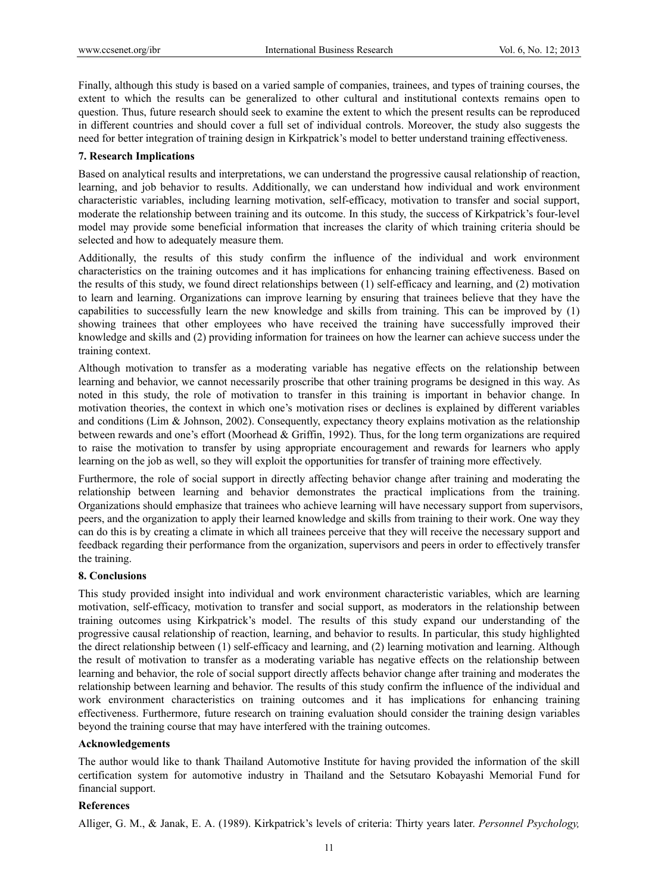Finally, although this study is based on a varied sample of companies, trainees, and types of training courses, the extent to which the results can be generalized to other cultural and institutional contexts remains open to question. Thus, future research should seek to examine the extent to which the present results can be reproduced in different countries and should cover a full set of individual controls. Moreover, the study also suggests the need for better integration of training design in Kirkpatrick's model to better understand training effectiveness.

# **7. Research Implications**

Based on analytical results and interpretations, we can understand the progressive causal relationship of reaction, learning, and job behavior to results. Additionally, we can understand how individual and work environment characteristic variables, including learning motivation, self-efficacy, motivation to transfer and social support, moderate the relationship between training and its outcome. In this study, the success of Kirkpatrick's four-level model may provide some beneficial information that increases the clarity of which training criteria should be selected and how to adequately measure them.

Additionally, the results of this study confirm the influence of the individual and work environment characteristics on the training outcomes and it has implications for enhancing training effectiveness. Based on the results of this study, we found direct relationships between (1) self-efficacy and learning, and (2) motivation to learn and learning. Organizations can improve learning by ensuring that trainees believe that they have the capabilities to successfully learn the new knowledge and skills from training. This can be improved by (1) showing trainees that other employees who have received the training have successfully improved their knowledge and skills and (2) providing information for trainees on how the learner can achieve success under the training context.

Although motivation to transfer as a moderating variable has negative effects on the relationship between learning and behavior, we cannot necessarily proscribe that other training programs be designed in this way. As noted in this study, the role of motivation to transfer in this training is important in behavior change. In motivation theories, the context in which one's motivation rises or declines is explained by different variables and conditions (Lim & Johnson, 2002). Consequently, expectancy theory explains motivation as the relationship between rewards and one's effort (Moorhead & Griffin, 1992). Thus, for the long term organizations are required to raise the motivation to transfer by using appropriate encouragement and rewards for learners who apply learning on the job as well, so they will exploit the opportunities for transfer of training more effectively.

Furthermore, the role of social support in directly affecting behavior change after training and moderating the relationship between learning and behavior demonstrates the practical implications from the training. Organizations should emphasize that trainees who achieve learning will have necessary support from supervisors, peers, and the organization to apply their learned knowledge and skills from training to their work. One way they can do this is by creating a climate in which all trainees perceive that they will receive the necessary support and feedback regarding their performance from the organization, supervisors and peers in order to effectively transfer the training.

## **8. Conclusions**

This study provided insight into individual and work environment characteristic variables, which are learning motivation, self-efficacy, motivation to transfer and social support, as moderators in the relationship between training outcomes using Kirkpatrick's model. The results of this study expand our understanding of the progressive causal relationship of reaction, learning, and behavior to results. In particular, this study highlighted the direct relationship between (1) self-efficacy and learning, and (2) learning motivation and learning. Although the result of motivation to transfer as a moderating variable has negative effects on the relationship between learning and behavior, the role of social support directly affects behavior change after training and moderates the relationship between learning and behavior. The results of this study confirm the influence of the individual and work environment characteristics on training outcomes and it has implications for enhancing training effectiveness. Furthermore, future research on training evaluation should consider the training design variables beyond the training course that may have interfered with the training outcomes.

# **Acknowledgements**

The author would like to thank Thailand Automotive Institute for having provided the information of the skill certification system for automotive industry in Thailand and the Setsutaro Kobayashi Memorial Fund for financial support.

## **References**

Alliger, G. M., & Janak, E. A. (1989). Kirkpatrick's levels of criteria: Thirty years later. *Personnel Psychology,*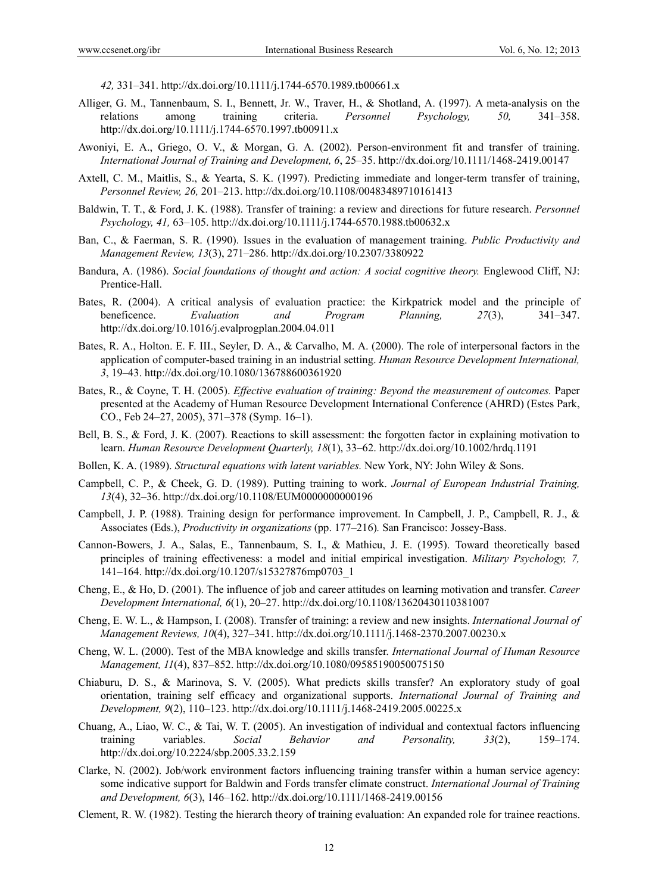*42,* 331–341. http://dx.doi.org/10.1111/j.1744-6570.1989.tb00661.x

- Alliger, G. M., Tannenbaum, S. I., Bennett, Jr. W., Traver, H., & Shotland, A. (1997). A meta-analysis on the relations among training criteria. *Personnel Psychology, 50,* 341–358. http://dx.doi.org/10.1111/j.1744-6570.1997.tb00911.x
- Awoniyi, E. A., Griego, O. V., & Morgan, G. A. (2002). Person-environment fit and transfer of training. *International Journal of Training and Development, 6*, 25–35. http://dx.doi.org/10.1111/1468-2419.00147
- Axtell, C. M., Maitlis, S., & Yearta, S. K. (1997). Predicting immediate and longer-term transfer of training, *Personnel Review, 26,* 201–213. http://dx.doi.org/10.1108/00483489710161413
- Baldwin, T. T., & Ford, J. K. (1988). Transfer of training: a review and directions for future research. *Personnel Psychology, 41,* 63–105. http://dx.doi.org/10.1111/j.1744-6570.1988.tb00632.x
- Ban, C., & Faerman, S. R. (1990). Issues in the evaluation of management training. *Public Productivity and Management Review, 13*(3), 271–286. http://dx.doi.org/10.2307/3380922
- Bandura, A. (1986). *Social foundations of thought and action: A social cognitive theory.* Englewood Cliff, NJ: Prentice-Hall.
- Bates, R. (2004). A critical analysis of evaluation practice: the Kirkpatrick model and the principle of beneficence. *Evaluation and Program Planning, 27*(3), 341–347. http://dx.doi.org/10.1016/j.evalprogplan.2004.04.011
- Bates, R. A., Holton. E. F. III., Seyler, D. A., & Carvalho, M. A. (2000). The role of interpersonal factors in the application of computer-based training in an industrial setting. *Human Resource Development International, 3*, 19–43. http://dx.doi.org/10.1080/136788600361920
- Bates, R., & Coyne, T. H. (2005). *Effective evaluation of training: Beyond the measurement of outcomes.* Paper presented at the Academy of Human Resource Development International Conference (AHRD) (Estes Park, CO., Feb 24–27, 2005), 371–378 (Symp. 16–1).
- Bell, B. S., & Ford, J. K. (2007). Reactions to skill assessment: the forgotten factor in explaining motivation to learn. *Human Resource Development Quarterly, 18*(1), 33–62. http://dx.doi.org/10.1002/hrdq.1191
- Bollen, K. A. (1989). *Structural equations with latent variables.* New York, NY: John Wiley & Sons.
- Campbell, C. P., & Cheek, G. D. (1989). Putting training to work. *Journal of European Industrial Training, 13*(4), 32–36. http://dx.doi.org/10.1108/EUM0000000000196
- Campbell, J. P. (1988). Training design for performance improvement. In Campbell, J. P., Campbell, R. J., & Associates (Eds.), *Productivity in organizations* (pp. 177–216)*.* San Francisco: Jossey-Bass.
- Cannon-Bowers, J. A., Salas, E., Tannenbaum, S. I., & Mathieu, J. E. (1995). Toward theoretically based principles of training effectiveness: a model and initial empirical investigation. *Military Psychology, 7,* 141–164. http://dx.doi.org/10.1207/s15327876mp0703\_1
- Cheng, E., & Ho, D. (2001). The influence of job and career attitudes on learning motivation and transfer. *Career Development International, 6*(1), 20–27. http://dx.doi.org/10.1108/13620430110381007
- Cheng, E. W. L., & Hampson, I. (2008). Transfer of training: a review and new insights. *International Journal of Management Reviews, 10*(4), 327–341. http://dx.doi.org/10.1111/j.1468-2370.2007.00230.x
- Cheng, W. L. (2000). Test of the MBA knowledge and skills transfer. *International Journal of Human Resource Management, 11*(4), 837–852. http://dx.doi.org/10.1080/09585190050075150
- Chiaburu, D. S., & Marinova, S. V. (2005). What predicts skills transfer? An exploratory study of goal orientation, training self efficacy and organizational supports. *International Journal of Training and Development, 9*(2), 110–123. http://dx.doi.org/10.1111/j.1468-2419.2005.00225.x
- Chuang, A., Liao, W. C., & Tai, W. T. (2005). An investigation of individual and contextual factors influencing training variables. *Social Behavior and Personality, 33*(2), 159–174. http://dx.doi.org/10.2224/sbp.2005.33.2.159
- Clarke, N. (2002). Job/work environment factors influencing training transfer within a human service agency: some indicative support for Baldwin and Fords transfer climate construct. *International Journal of Training and Development, 6*(3), 146–162. http://dx.doi.org/10.1111/1468-2419.00156
- Clement, R. W. (1982). Testing the hierarch theory of training evaluation: An expanded role for trainee reactions.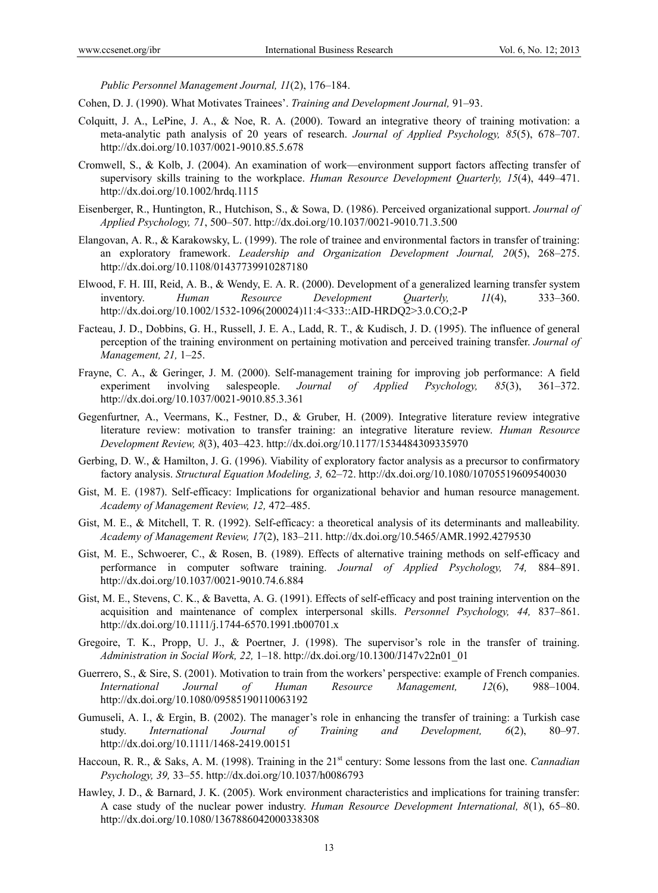*Public Personnel Management Journal, 11*(2), 176–184.

- Cohen, D. J. (1990). What Motivates Trainees'. *Training and Development Journal,* 91–93.
- Colquitt, J. A., LePine, J. A., & Noe, R. A. (2000). Toward an integrative theory of training motivation: a meta-analytic path analysis of 20 years of research. *Journal of Applied Psychology, 85*(5), 678–707. http://dx.doi.org/10.1037/0021-9010.85.5.678
- Cromwell, S., & Kolb, J. (2004). An examination of work—environment support factors affecting transfer of supervisory skills training to the workplace. *Human Resource Development Quarterly, 15*(4), 449–471. http://dx.doi.org/10.1002/hrdq.1115
- Eisenberger, R., Huntington, R., Hutchison, S., & Sowa, D. (1986). Perceived organizational support. *Journal of Applied Psychology, 71*, 500–507. http://dx.doi.org/10.1037/0021-9010.71.3.500
- Elangovan, A. R., & Karakowsky, L. (1999). The role of trainee and environmental factors in transfer of training: an exploratory framework. *Leadership and Organization Development Journal, 20*(5), 268–275. http://dx.doi.org/10.1108/01437739910287180
- Elwood, F. H. III, Reid, A. B., & Wendy, E. A. R. (2000). Development of a generalized learning transfer system inventory. *Human Resource Development Quarterly, 11*(4), 333–360. http://dx.doi.org/10.1002/1532-1096(200024)11:4<333::AID-HRDQ2>3.0.CO;2-P
- Facteau, J. D., Dobbins, G. H., Russell, J. E. A., Ladd, R. T., & Kudisch, J. D. (1995). The influence of general perception of the training environment on pertaining motivation and perceived training transfer. *Journal of Management, 21,* 1–25.
- Frayne, C. A., & Geringer, J. M. (2000). Self-management training for improving job performance: A field experiment involving salespeople. *Journal of Applied Psychology, 85*(3), 361–372. http://dx.doi.org/10.1037/0021-9010.85.3.361
- Gegenfurtner, A., Veermans, K., Festner, D., & Gruber, H. (2009). Integrative literature review integrative literature review: motivation to transfer training: an integrative literature review. *Human Resource Development Review, 8*(3), 403–423. http://dx.doi.org/10.1177/1534484309335970
- Gerbing, D. W., & Hamilton, J. G. (1996). Viability of exploratory factor analysis as a precursor to confirmatory factory analysis. *Structural Equation Modeling, 3,* 62–72. http://dx.doi.org/10.1080/10705519609540030
- Gist, M. E. (1987). Self-efficacy: Implications for organizational behavior and human resource management. *Academy of Management Review, 12,* 472–485.
- Gist, M. E., & Mitchell, T. R. (1992). Self-efficacy: a theoretical analysis of its determinants and malleability. *Academy of Management Review, 17*(2), 183–211. http://dx.doi.org/10.5465/AMR.1992.4279530
- Gist, M. E., Schwoerer, C., & Rosen, B. (1989). Effects of alternative training methods on self-efficacy and performance in computer software training. *Journal of Applied Psychology, 74,* 884–891. http://dx.doi.org/10.1037/0021-9010.74.6.884
- Gist, M. E., Stevens, C. K., & Bavetta, A. G. (1991). Effects of self-efficacy and post training intervention on the acquisition and maintenance of complex interpersonal skills. *Personnel Psychology, 44,* 837–861. http://dx.doi.org/10.1111/j.1744-6570.1991.tb00701.x
- Gregoire, T. K., Propp, U. J., & Poertner, J. (1998). The supervisor's role in the transfer of training. *Administration in Social Work, 22,* 1–18. http://dx.doi.org/10.1300/J147v22n01\_01
- Guerrero, S., & Sire, S. (2001). Motivation to train from the workers' perspective: example of French companies. *International Journal of Human Resource Management, 12*(6), 988–1004. http://dx.doi.org/10.1080/09585190110063192
- Gumuseli, A. I., & Ergin, B. (2002). The manager's role in enhancing the transfer of training: a Turkish case study. *International Journal of Training and Development, 6*(2), 80–97. http://dx.doi.org/10.1111/1468-2419.00151
- Haccoun, R. R., & Saks, A. M. (1998). Training in the 21<sup>st</sup> century: Some lessons from the last one. *Cannadian Psychology, 39,* 33–55. http://dx.doi.org/10.1037/h0086793
- Hawley, J. D., & Barnard, J. K. (2005). Work environment characteristics and implications for training transfer: A case study of the nuclear power industry. *Human Resource Development International, 8*(1), 65–80. http://dx.doi.org/10.1080/1367886042000338308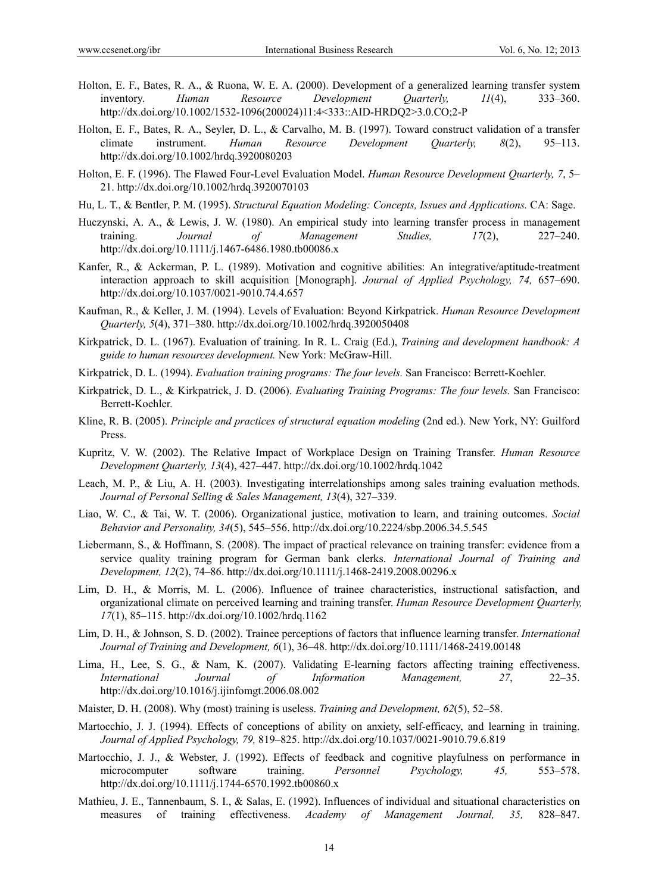- Holton, E. F., Bates, R. A., & Ruona, W. E. A. (2000). Development of a generalized learning transfer system inventory. *Human Resource Development Quarterly, 11*(4), 333–360. http://dx.doi.org/10.1002/1532-1096(200024)11:4<333::AID-HRDQ2>3.0.CO;2-P
- Holton, E. F., Bates, R. A., Seyler, D. L., & Carvalho, M. B. (1997). Toward construct validation of a transfer climate instrument. *Human Resource Development Quarterly, 8*(2), 95–113. http://dx.doi.org/10.1002/hrdq.3920080203
- Holton, E. F. (1996). The Flawed Four-Level Evaluation Model. *Human Resource Development Quarterly, 7*, 5– 21. http://dx.doi.org/10.1002/hrdq.3920070103
- Hu, L. T., & Bentler, P. M. (1995). *Structural Equation Modeling: Concepts, Issues and Applications.* CA: Sage.
- Huczynski, A. A., & Lewis, J. W. (1980). An empirical study into learning transfer process in management training. *Journal of Management Studies, 17*(2), 227–240. http://dx.doi.org/10.1111/j.1467-6486.1980.tb00086.x
- Kanfer, R., & Ackerman, P. L. (1989). Motivation and cognitive abilities: An integrative/aptitude-treatment interaction approach to skill acquisition [Monograph]. *Journal of Applied Psychology, 74,* 657–690. http://dx.doi.org/10.1037/0021-9010.74.4.657
- Kaufman, R., & Keller, J. M. (1994). Levels of Evaluation: Beyond Kirkpatrick. *Human Resource Development Quarterly, 5*(4), 371–380. http://dx.doi.org/10.1002/hrdq.3920050408
- Kirkpatrick, D. L. (1967). Evaluation of training. In R. L. Craig (Ed.), *Training and development handbook: A guide to human resources development.* New York: McGraw-Hill.
- Kirkpatrick, D. L. (1994). *Evaluation training programs: The four levels.* San Francisco: Berrett-Koehler.
- Kirkpatrick, D. L., & Kirkpatrick, J. D. (2006). *Evaluating Training Programs: The four levels.* San Francisco: Berrett-Koehler.
- Kline, R. B. (2005). *Principle and practices of structural equation modeling* (2nd ed.). New York, NY: Guilford Press.
- Kupritz, V. W. (2002). The Relative Impact of Workplace Design on Training Transfer. *Human Resource Development Quarterly, 13*(4), 427–447. http://dx.doi.org/10.1002/hrdq.1042
- Leach, M. P., & Liu, A. H. (2003). Investigating interrelationships among sales training evaluation methods. *Journal of Personal Selling & Sales Management, 13*(4), 327–339.
- Liao, W. C., & Tai, W. T. (2006). Organizational justice, motivation to learn, and training outcomes. *Social Behavior and Personality, 34*(5), 545–556. http://dx.doi.org/10.2224/sbp.2006.34.5.545
- Liebermann, S., & Hoffmann, S. (2008). The impact of practical relevance on training transfer: evidence from a service quality training program for German bank clerks. *International Journal of Training and Development, 12*(2), 74–86. http://dx.doi.org/10.1111/j.1468-2419.2008.00296.x
- Lim, D. H., & Morris, M. L. (2006). Influence of trainee characteristics, instructional satisfaction, and organizational climate on perceived learning and training transfer. *Human Resource Development Quarterly, 17*(1), 85–115. http://dx.doi.org/10.1002/hrdq.1162
- Lim, D. H., & Johnson, S. D. (2002). Trainee perceptions of factors that influence learning transfer. *International Journal of Training and Development, 6*(1), 36–48. http://dx.doi.org/10.1111/1468-2419.00148
- Lima, H., Lee, S. G., & Nam, K. (2007). Validating E-learning factors affecting training effectiveness. *International Journal of Information Management, 27*, 22–35. http://dx.doi.org/10.1016/j.ijinfomgt.2006.08.002
- Maister, D. H. (2008). Why (most) training is useless. *Training and Development, 62*(5), 52–58.
- Martocchio, J. J. (1994). Effects of conceptions of ability on anxiety, self-efficacy, and learning in training. *Journal of Applied Psychology, 79,* 819–825. http://dx.doi.org/10.1037/0021-9010.79.6.819
- Martocchio, J. J., & Webster, J. (1992). Effects of feedback and cognitive playfulness on performance in microcomputer software training. *Personnel Psychology, 45,* 553–578. http://dx.doi.org/10.1111/j.1744-6570.1992.tb00860.x
- Mathieu, J. E., Tannenbaum, S. I., & Salas, E. (1992). Influences of individual and situational characteristics on measures of training effectiveness. *Academy of Management Journal, 35,* 828–847.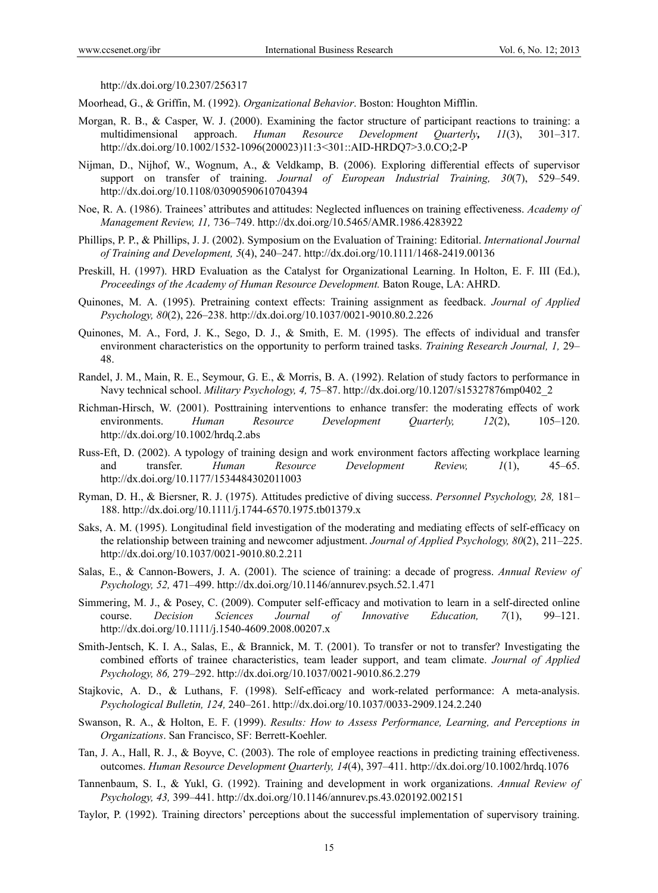http://dx.doi.org/10.2307/256317

Moorhead, G., & Griffin, M. (1992). *Organizational Behavior*. Boston: Houghton Mifflin.

- Morgan, R. B., & Casper, W. J. (2000). Examining the factor structure of participant reactions to training: a multidimensional approach. *Human Resource Development Quarterly, 11*(3), 301–317. http://dx.doi.org/10.1002/1532-1096(200023)11:3<301::AID-HRDQ7>3.0.CO;2-P
- Nijman, D., Nijhof, W., Wognum, A., & Veldkamp, B. (2006). Exploring differential effects of supervisor support on transfer of training. *Journal of European Industrial Training, 30*(7), 529–549. http://dx.doi.org/10.1108/03090590610704394
- Noe, R. A. (1986). Trainees' attributes and attitudes: Neglected influences on training effectiveness. *Academy of Management Review, 11,* 736–749. http://dx.doi.org/10.5465/AMR.1986.4283922
- Phillips, P. P., & Phillips, J. J. (2002). Symposium on the Evaluation of Training: Editorial. *International Journal of Training and Development, 5*(4), 240–247. http://dx.doi.org/10.1111/1468-2419.00136
- Preskill, H. (1997). HRD Evaluation as the Catalyst for Organizational Learning. In Holton, E. F. III (Ed.), *Proceedings of the Academy of Human Resource Development.* Baton Rouge, LA: AHRD.
- Quinones, M. A. (1995). Pretraining context effects: Training assignment as feedback. *Journal of Applied Psychology, 80*(2), 226–238. http://dx.doi.org/10.1037/0021-9010.80.2.226
- Quinones, M. A., Ford, J. K., Sego, D. J., & Smith, E. M. (1995). The effects of individual and transfer environment characteristics on the opportunity to perform trained tasks. *Training Research Journal, 1,* 29– 48.
- Randel, J. M., Main, R. E., Seymour, G. E., & Morris, B. A. (1992). Relation of study factors to performance in Navy technical school. *Military Psychology, 4,* 75–87. http://dx.doi.org/10.1207/s15327876mp0402\_2
- Richman-Hirsch, W. (2001). Posttraining interventions to enhance transfer: the moderating effects of work environments. *Human Resource Development Quarterly, 12*(2), 105–120. http://dx.doi.org/10.1002/hrdq.2.abs
- Russ-Eft, D. (2002). A typology of training design and work environment factors affecting workplace learning and transfer. *Human Resource Development Review, 1*(1), 45–65. http://dx.doi.org/10.1177/1534484302011003
- Ryman, D. H., & Biersner, R. J. (1975). Attitudes predictive of diving success. *Personnel Psychology, 28,* 181– 188. http://dx.doi.org/10.1111/j.1744-6570.1975.tb01379.x
- Saks, A. M. (1995). Longitudinal field investigation of the moderating and mediating effects of self-efficacy on the relationship between training and newcomer adjustment. *Journal of Applied Psychology, 80*(2), 211–225. http://dx.doi.org/10.1037/0021-9010.80.2.211
- Salas, E., & Cannon-Bowers, J. A. (2001). The science of training: a decade of progress. *Annual Review of Psychology, 52,* 471–499. http://dx.doi.org/10.1146/annurev.psych.52.1.471
- Simmering, M. J., & Posey, C. (2009). Computer self-efficacy and motivation to learn in a self-directed online course. *Decision Sciences Journal of Innovative Education, 7*(1), 99–121. http://dx.doi.org/10.1111/j.1540-4609.2008.00207.x
- Smith-Jentsch, K. I. A., Salas, E., & Brannick, M. T. (2001). To transfer or not to transfer? Investigating the combined efforts of trainee characteristics, team leader support, and team climate. *Journal of Applied Psychology, 86,* 279–292. http://dx.doi.org/10.1037/0021-9010.86.2.279
- Stajkovic, A. D., & Luthans, F. (1998). Self-efficacy and work-related performance: A meta-analysis. *Psychological Bulletin, 124,* 240–261. http://dx.doi.org/10.1037/0033-2909.124.2.240
- Swanson, R. A., & Holton, E. F. (1999). *Results: How to Assess Performance, Learning, and Perceptions in Organizations*. San Francisco, SF: Berrett-Koehler.
- Tan, J. A., Hall, R. J., & Boyve, C. (2003). The role of employee reactions in predicting training effectiveness. outcomes. *Human Resource Development Quarterly, 14*(4), 397–411. http://dx.doi.org/10.1002/hrdq.1076
- Tannenbaum, S. I., & Yukl, G. (1992). Training and development in work organizations. *Annual Review of Psychology, 43,* 399–441. http://dx.doi.org/10.1146/annurev.ps.43.020192.002151
- Taylor, P. (1992). Training directors' perceptions about the successful implementation of supervisory training.